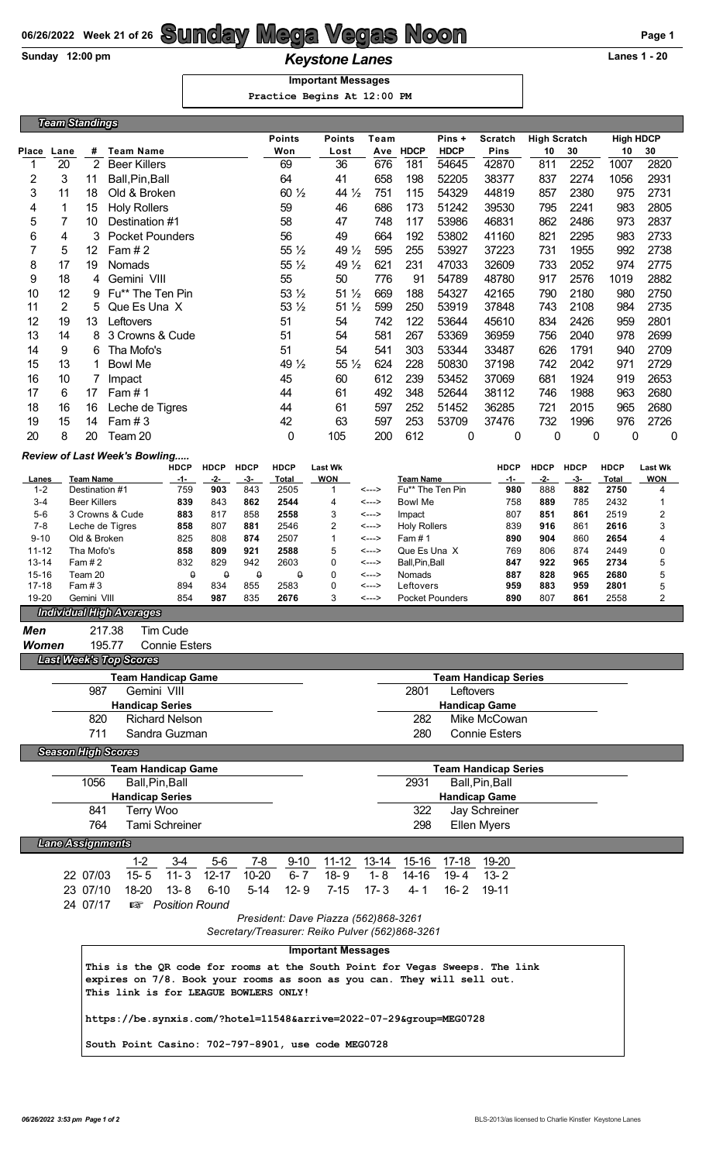## **06/26/2022 Week 21 of 26 Sunday Mega Vegas Noon Page 1**

**Keystone Lanes 1 - 20**<br> **Keystone Lanes 1 - 20** 

## **Important Messages**

 **Practice Begins At 12:00 PM**

| RISCITCS DEGIUS AL IS:00 RM                                                                                                                            |                         |                                                                                |                                                                    |                      |                      |                    |                      |                                      |                              |                  |                        |                                       |                    |                    |                             |                              |
|--------------------------------------------------------------------------------------------------------------------------------------------------------|-------------------------|--------------------------------------------------------------------------------|--------------------------------------------------------------------|----------------------|----------------------|--------------------|----------------------|--------------------------------------|------------------------------|------------------|------------------------|---------------------------------------|--------------------|--------------------|-----------------------------|------------------------------|
|                                                                                                                                                        | <b>Team Standings</b>   |                                                                                |                                                                    |                      |                      |                    |                      |                                      |                              |                  |                        |                                       |                    |                    |                             |                              |
|                                                                                                                                                        |                         |                                                                                |                                                                    |                      |                      |                    | <b>Points</b>        | Team                                 |                              | Pins +           | <b>Scratch</b>         | <b>High Scratch</b>                   |                    | <b>High HDCP</b>   |                             |                              |
| Place                                                                                                                                                  | Lane                    | #                                                                              | <b>Team Name</b>                                                   |                      |                      |                    | Won                  | Lost                                 | Ave                          | <b>HDCP</b>      | <b>HDCP</b>            | Pins                                  | 10                 | 30                 | 10                          | 30                           |
| 1                                                                                                                                                      | 20                      | 2                                                                              | <b>Beer Killers</b>                                                |                      |                      |                    | 69                   | 36                                   | 676                          | 181              | 54645                  | 42870                                 | 811                | 2252               | 1007                        | 2820                         |
| 2                                                                                                                                                      | 3                       | 11                                                                             | Ball, Pin, Ball                                                    |                      |                      |                    | 64                   | 41                                   | 658                          | 198              | 52205                  | 38377                                 | 837                | 2274               | 1056                        | 2931                         |
| 3                                                                                                                                                      | 11                      | 18                                                                             | Old & Broken                                                       |                      |                      | 60 $\frac{1}{2}$   | 44 $\frac{1}{2}$     | 751                                  | 115                          | 54329            | 44819                  | 857                                   | 2380               | 975                | 2731                        |                              |
| 4<br>5                                                                                                                                                 | 1<br>7                  | 15<br>10                                                                       | <b>Holy Rollers</b>                                                |                      |                      |                    | 59<br>58             | 46<br>47                             | 686<br>748                   | 173<br>117       | 51242<br>53986         | 39530<br>46831                        | 795<br>862         | 2241<br>2486       | 983<br>973                  | 2805<br>2837                 |
| 6                                                                                                                                                      | 4                       |                                                                                | Destination #1                                                     |                      |                      | 56                 | 49                   | 664                                  | 192                          | 53802            | 41160                  | 821                                   | 2295               | 983                | 2733                        |                              |
| $\overline{7}$                                                                                                                                         | 5                       | <b>Pocket Pounders</b><br>3<br>12<br>Fam $#2$                                  |                                                                    |                      |                      | 55 $\frac{1}{2}$   | 49 $\frac{1}{2}$     | 595                                  | 255                          | 53927            | 37223                  | 731                                   | 1955               | 992                | 2738                        |                              |
| 8                                                                                                                                                      | 17                      | Nomads<br>19                                                                   |                                                                    |                      |                      | 55 $\frac{1}{2}$   | 49 $\frac{1}{2}$     | 621                                  | 231                          | 47033            | 32609                  | 733                                   | 2052               | 974                | 2775                        |                              |
| 9                                                                                                                                                      | 18                      | 4                                                                              | Gemini VIII                                                        |                      |                      |                    | 55                   | 50                                   | 776                          | 91               | 54789                  | 48780                                 | 917                | 2576               | 1019                        | 2882                         |
| 10                                                                                                                                                     | 12                      | 9                                                                              | Fu** The Ten Pin                                                   |                      |                      |                    | 53 $\frac{1}{2}$     | $51\frac{1}{2}$                      | 669                          | 188              | 54327                  | 42165                                 | 790                | 2180               | 980                         | 2750                         |
| 11                                                                                                                                                     | 2                       | 5                                                                              | Que Es Una X                                                       |                      |                      |                    | 53 $\frac{1}{2}$     | $51\frac{1}{2}$                      | 599                          | 250              | 53919                  | 37848                                 | 743                | 2108               | 984                         | 2735                         |
| 12                                                                                                                                                     | 19                      | 13                                                                             | Leftovers                                                          |                      |                      |                    | 51                   | 54                                   | 742                          | 122              | 53644                  | 45610                                 | 834                | 2426               | 959                         | 2801                         |
| 13                                                                                                                                                     | 14                      | 8                                                                              | 3 Crowns & Cude                                                    |                      |                      |                    | 51                   | 54                                   | 581                          | 267              | 53369                  | 36959                                 | 756                | 2040               | 978                         | 2699                         |
| 14                                                                                                                                                     | 9                       | 6                                                                              | Tha Mofo's                                                         |                      |                      |                    | 51                   | 54                                   | 541                          | 303              | 53344                  | 33487                                 | 626                | 1791               | 940                         | 2709                         |
| 15                                                                                                                                                     | 13                      | 1                                                                              | <b>Bowl Me</b>                                                     |                      |                      |                    | 49 $\frac{1}{2}$     | 55 $\frac{1}{2}$                     | 624                          | 228              | 50830                  | 37198                                 | 742                | 2042               | 971                         | 2729                         |
| 16                                                                                                                                                     | 10                      | 7                                                                              | Impact                                                             |                      |                      |                    | 45                   | 60                                   | 612                          | 239              | 53452                  | 37069                                 | 681                | 1924               | 919                         | 2653                         |
| 17                                                                                                                                                     | 6                       | 17                                                                             | Fam#1                                                              |                      |                      |                    | 44                   | 61                                   | 492                          | 348              | 52644                  | 38112                                 | 746                | 1988               | 963                         | 2680                         |
| 18                                                                                                                                                     | 16                      | 16                                                                             | Leche de Tigres                                                    |                      |                      |                    | 44                   | 61                                   | 597                          | 252              | 51452                  | 36285                                 | 721                | 2015               | 965                         | 2680                         |
| 19                                                                                                                                                     | 15                      | 14                                                                             | Fam $#3$                                                           |                      |                      |                    | 42                   | 63                                   | 597                          | 253              | 53709                  | 37476                                 | 732                | 1996               | 976                         | 2726                         |
| 20                                                                                                                                                     | 8                       | 20                                                                             | Team 20                                                            |                      |                      |                    | 0                    | 105                                  | 200                          | 612              | 0                      | 0                                     | 0                  | 0                  | 0                           | 0                            |
|                                                                                                                                                        |                         |                                                                                | Review of Last Week's Bowling                                      |                      |                      |                    |                      |                                      |                              |                  |                        |                                       |                    |                    |                             |                              |
| Lanes                                                                                                                                                  |                         | <b>Team Name</b>                                                               |                                                                    | <b>HDCP</b><br>-1-   | <b>HDCP</b><br>$-2-$ | <b>HDCP</b><br>-3- | <b>HDCP</b><br>Total | <b>Last Wk</b><br><b>WON</b>         |                              | <b>Team Name</b> |                        | <b>HDCP</b><br>-1-                    | <b>HDCP</b><br>-2- | <b>HDCP</b><br>-3- | <b>HDCP</b><br><b>Total</b> | <b>Last Wk</b><br><b>WON</b> |
| $1 - 2$                                                                                                                                                |                         | Destination #1                                                                 |                                                                    | 759                  | 903                  | 843                | 2505                 | 1                                    | <--->                        |                  | Fu** The Ten Pin       | 980                                   | 888                | 882                | 2750                        | 4                            |
| $3 - 4$                                                                                                                                                |                         | <b>Beer Killers</b>                                                            |                                                                    | 839                  | 843                  | 862                | 2544                 | 4                                    | <--->                        | <b>Bowl Me</b>   |                        | 758                                   | 889                | 785                | 2432                        | 1                            |
| $5-6$                                                                                                                                                  |                         |                                                                                | 3 Crowns & Cude                                                    | 883                  | 817<br>807           | 858                | 2558                 | 3<br>$\overline{2}$                  | <--->                        | Impact           |                        | 807                                   | 851<br>916         | 861                | 2519<br>2616                | 2                            |
| $7 - 8$<br>$9 - 10$                                                                                                                                    |                         | Leche de Tigres<br>858<br>881<br>Old & Broken<br>808<br>825                    |                                                                    |                      | 874                  | 2546<br>2507       | $\mathbf{1}$         | <---><br><--->                       | <b>Holy Rollers</b><br>Fam#1 |                  | 839<br>890             | 904                                   | 861<br>860         | 2654               | 3<br>4                      |                              |
| $11 - 12$                                                                                                                                              |                         | 858<br>809<br>Tha Mofo's<br>921                                                |                                                                    |                      |                      |                    | 2588                 | 5                                    | <--->                        | Que Es Una X     |                        | 769                                   | 806                | 874                | 2449                        | 0                            |
| 13-14                                                                                                                                                  |                         | 832<br>829<br>942<br>Fam $#2$                                                  |                                                                    |                      |                      | 2603               | $\Omega$             | <--->                                | Ball, Pin, Ball              |                  | 847                    | 922                                   | 965                | 2734               | 5                           |                              |
| $15 - 16$<br>$17 - 18$                                                                                                                                 |                         | $\pmb{\varrho}$<br>$\pmb{\varrho}$<br>Team 20<br>894<br>834<br>Fam $#3$<br>855 |                                                                    | $\pmb{\varrho}$      | $\theta$<br>2583     | 0<br>$\mathbf 0$   | <---><br><--->       | Nomads<br>Leftovers                  |                              | 887<br>959       | 828<br>883             | 965<br>959                            | 2680<br>2801       | 5                  |                             |                              |
| 19-20                                                                                                                                                  |                         | Gemini VIII                                                                    |                                                                    | 854                  | 987                  | 835                | 2676                 | 3                                    | <--->                        |                  | <b>Pocket Pounders</b> | 890                                   | 807                | 861                | 2558                        | 5<br>2                       |
|                                                                                                                                                        |                         |                                                                                | <b>Individual High Averages</b>                                    |                      |                      |                    |                      |                                      |                              |                  |                        |                                       |                    |                    |                             |                              |
| Men                                                                                                                                                    |                         |                                                                                | Tim Cude<br>217.38                                                 |                      |                      |                    |                      |                                      |                              |                  |                        |                                       |                    |                    |                             |                              |
| <b>Women</b>                                                                                                                                           |                         |                                                                                | 195.77                                                             | <b>Connie Esters</b> |                      |                    |                      |                                      |                              |                  |                        |                                       |                    |                    |                             |                              |
|                                                                                                                                                        |                         |                                                                                | <b>Last Week's Top Scores</b>                                      |                      |                      |                    |                      |                                      |                              |                  |                        |                                       |                    |                    |                             |                              |
|                                                                                                                                                        |                         |                                                                                | <b>Team Handicap Game</b>                                          |                      |                      |                    |                      |                                      |                              |                  |                        | <b>Team Handicap Series</b>           |                    |                    |                             |                              |
|                                                                                                                                                        |                         | 987                                                                            | Gemini VIII                                                        |                      |                      |                    |                      |                                      |                              | 2801             | Leftovers              |                                       |                    |                    |                             |                              |
|                                                                                                                                                        |                         |                                                                                | <b>Handicap Series</b>                                             |                      |                      |                    |                      |                                      |                              |                  |                        | <b>Handicap Game</b>                  |                    |                    |                             |                              |
| 820<br><b>Richard Nelson</b>                                                                                                                           |                         |                                                                                |                                                                    |                      |                      |                    |                      |                                      |                              | 282              |                        | Mike McCowan                          |                    |                    |                             |                              |
|                                                                                                                                                        |                         | 711                                                                            | Sandra Guzman                                                      |                      |                      |                    |                      |                                      |                              | 280              |                        | <b>Connie Esters</b>                  |                    |                    |                             |                              |
|                                                                                                                                                        |                         |                                                                                | <b>Season High Scores</b>                                          |                      |                      |                    |                      |                                      |                              |                  |                        |                                       |                    |                    |                             |                              |
|                                                                                                                                                        |                         |                                                                                | <b>Team Handicap Game</b>                                          |                      |                      |                    |                      |                                      |                              |                  |                        | <b>Team Handicap Series</b>           |                    |                    |                             |                              |
|                                                                                                                                                        |                         | 1056                                                                           | Ball, Pin, Ball                                                    |                      |                      |                    |                      |                                      |                              | 2931             |                        | Ball, Pin, Ball                       |                    |                    |                             |                              |
|                                                                                                                                                        |                         | 841                                                                            | <b>Handicap Series</b><br>Terry Woo                                |                      |                      |                    |                      |                                      |                              | 322              |                        | <b>Handicap Game</b><br>Jay Schreiner |                    |                    |                             |                              |
|                                                                                                                                                        |                         | 764                                                                            | Tami Schreiner                                                     |                      |                      |                    |                      |                                      |                              | 298              |                        | Ellen Myers                           |                    |                    |                             |                              |
|                                                                                                                                                        |                         |                                                                                |                                                                    |                      |                      |                    |                      |                                      |                              |                  |                        |                                       |                    |                    |                             |                              |
|                                                                                                                                                        | <b>Lane Assignments</b> |                                                                                |                                                                    |                      |                      |                    |                      |                                      |                              |                  |                        |                                       |                    |                    |                             |                              |
|                                                                                                                                                        |                         |                                                                                | 1-2                                                                | 3-4                  | 5-6                  | 7-8                | $9 - 10$             | $11 - 12$                            |                              | 13-14 15-16      | 17-18                  | 19-20                                 |                    |                    |                             |                              |
|                                                                                                                                                        |                         | 22 07/03                                                                       | $15 - 5$                                                           | $11 - 3$             | $12 - 17$            | $10 - 20$          | $6 - 7$              | $18 - 9$                             | $1 - 8$                      | $14 - 16$        | $19 - 4$               | $13 - 2$                              |                    |                    |                             |                              |
|                                                                                                                                                        |                         | 23 07/10                                                                       | 18-20<br><b>13 Position Round</b>                                  | $13 - 8$             | $6 - 10$             | $5 - 14$           | $12 - 9$             | $7 - 15$                             | $17 - 3$                     | $4 - 1$          | $16 - 2$               | 19-11                                 |                    |                    |                             |                              |
|                                                                                                                                                        |                         | 24 07/17                                                                       |                                                                    |                      |                      |                    |                      | President: Dave Piazza (562)868-3261 |                              |                  |                        |                                       |                    |                    |                             |                              |
|                                                                                                                                                        |                         |                                                                                |                                                                    |                      |                      |                    |                      |                                      |                              |                  |                        |                                       |                    |                    |                             |                              |
| Secretary/Treasurer: Reiko Pulver (562)868-3261<br><b>Important Messages</b>                                                                           |                         |                                                                                |                                                                    |                      |                      |                    |                      |                                      |                              |                  |                        |                                       |                    |                    |                             |                              |
|                                                                                                                                                        |                         |                                                                                |                                                                    |                      |                      |                    |                      |                                      |                              |                  |                        |                                       |                    |                    |                             |                              |
| This is the QR code for rooms at the South Point for Vegas Sweeps. The link<br>expires on 7/8. Book your rooms as soon as you can. They will sell out. |                         |                                                                                |                                                                    |                      |                      |                    |                      |                                      |                              |                  |                        |                                       |                    |                    |                             |                              |
|                                                                                                                                                        |                         |                                                                                | This link is for LEAGUE BOWLERS ONLY!                              |                      |                      |                    |                      |                                      |                              |                  |                        |                                       |                    |                    |                             |                              |
|                                                                                                                                                        |                         |                                                                                |                                                                    |                      |                      |                    |                      |                                      |                              |                  |                        |                                       |                    |                    |                             |                              |
|                                                                                                                                                        |                         |                                                                                | https://be.synxis.com/?hotel=11548&arrive=2022-07-29&group=MEG0728 |                      |                      |                    |                      |                                      |                              |                  |                        |                                       |                    |                    |                             |                              |
|                                                                                                                                                        |                         |                                                                                | South Point Casino: 702-797-8901, use code MEG0728                 |                      |                      |                    |                      |                                      |                              |                  |                        |                                       |                    |                    |                             |                              |